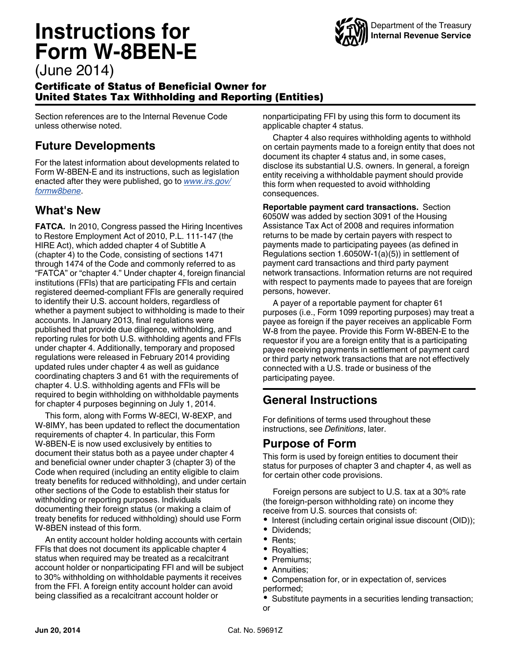# **Instructions for Form W-8BEN-E**



# (June 2014)

#### Certificate of Status of Beneficial Owner for United States Tax Withholding and Reporting (Entities)

Section references are to the Internal Revenue Code unless otherwise noted.

# **Future Developments**

For the latest information about developments related to Form W-8BEN-E and its instructions, such as legislation enacted after they were published, go to *[www.irs.gov/](http://www.irs.gov/formw8bene) [formw8bene](http://www.irs.gov/formw8bene)*.

### **What's New**

**FATCA.** In 2010, Congress passed the Hiring Incentives to Restore Employment Act of 2010, P.L. 111-147 (the HIRE Act), which added chapter 4 of Subtitle A (chapter 4) to the Code, consisting of sections 1471 through 1474 of the Code and commonly referred to as "FATCA" or "chapter 4." Under chapter 4, foreign financial institutions (FFIs) that are participating FFIs and certain registered deemed-compliant FFIs are generally required to identify their U.S. account holders, regardless of whether a payment subject to withholding is made to their accounts. In January 2013, final regulations were published that provide due diligence, withholding, and reporting rules for both U.S. withholding agents and FFIs under chapter 4. Additionally, temporary and proposed regulations were released in February 2014 providing updated rules under chapter 4 as well as guidance coordinating chapters 3 and 61 with the requirements of chapter 4. U.S. withholding agents and FFIs will be required to begin withholding on withholdable payments for chapter 4 purposes beginning on July 1, 2014.

This form, along with Forms W-8ECI, W-8EXP, and W-8IMY, has been updated to reflect the documentation requirements of chapter 4. In particular, this Form W-8BEN-E is now used exclusively by entities to document their status both as a payee under chapter 4 and beneficial owner under chapter 3 (chapter 3) of the Code when required (including an entity eligible to claim treaty benefits for reduced withholding), and under certain other sections of the Code to establish their status for withholding or reporting purposes. Individuals documenting their foreign status (or making a claim of treaty benefits for reduced withholding) should use Form W-8BEN instead of this form.

An entity account holder holding accounts with certain FFIs that does not document its applicable chapter 4 status when required may be treated as a recalcitrant account holder or nonparticipating FFI and will be subject to 30% withholding on withholdable payments it receives from the FFI. A foreign entity account holder can avoid being classified as a recalcitrant account holder or

nonparticipating FFI by using this form to document its applicable chapter 4 status.

Chapter 4 also requires withholding agents to withhold on certain payments made to a foreign entity that does not document its chapter 4 status and, in some cases, disclose its substantial U.S. owners. In general, a foreign entity receiving a withholdable payment should provide this form when requested to avoid withholding consequences.

**Reportable payment card transactions.** Section 6050W was added by section 3091 of the Housing Assistance Tax Act of 2008 and requires information returns to be made by certain payers with respect to payments made to participating payees (as defined in Regulations section 1.6050W-1(a)(5)) in settlement of payment card transactions and third party payment network transactions. Information returns are not required with respect to payments made to payees that are foreign persons, however.

A payer of a reportable payment for chapter 61 purposes (i.e., Form 1099 reporting purposes) may treat a payee as foreign if the payer receives an applicable Form W-8 from the payee. Provide this Form W-8BEN-E to the requestor if you are a foreign entity that is a participating payee receiving payments in settlement of payment card or third party network transactions that are not effectively connected with a U.S. trade or business of the participating payee.

# **General Instructions**

For definitions of terms used throughout these instructions, see *Definitions*, later.

# **Purpose of Form**

This form is used by foreign entities to document their status for purposes of chapter 3 and chapter 4, as well as for certain other code provisions.

Foreign persons are subject to U.S. tax at a 30% rate (the foreign-person withholding rate) on income they receive from U.S. sources that consists of:

- Interest (including certain original issue discount (OID));
- Dividends;
- Rents;
- Royalties;
- Premiums;
- $\bullet$ Annuities;
- $\bullet$ Compensation for, or in expectation of, services performed;
- Substitute payments in a securities lending transaction;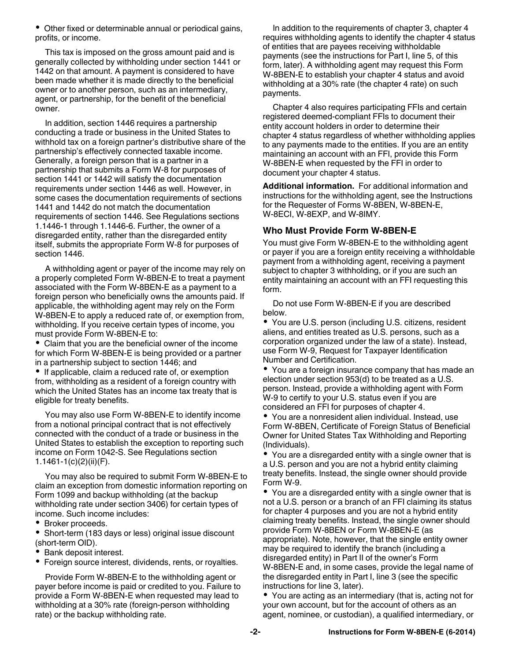• Other fixed or determinable annual or periodical gains, profits, or income.

This tax is imposed on the gross amount paid and is generally collected by withholding under section 1441 or 1442 on that amount. A payment is considered to have been made whether it is made directly to the beneficial owner or to another person, such as an intermediary, agent, or partnership, for the benefit of the beneficial owner.

In addition, section 1446 requires a partnership conducting a trade or business in the United States to withhold tax on a foreign partner's distributive share of the partnership's effectively connected taxable income. Generally, a foreign person that is a partner in a partnership that submits a Form W-8 for purposes of section 1441 or 1442 will satisfy the documentation requirements under section 1446 as well. However, in some cases the documentation requirements of sections 1441 and 1442 do not match the documentation requirements of section 1446. See Regulations sections 1.1446-1 through 1.1446-6. Further, the owner of a disregarded entity, rather than the disregarded entity itself, submits the appropriate Form W-8 for purposes of section 1446.

A withholding agent or payer of the income may rely on a properly completed Form W-8BEN-E to treat a payment associated with the Form W-8BEN-E as a payment to a foreign person who beneficially owns the amounts paid. If applicable, the withholding agent may rely on the Form W-8BEN-E to apply a reduced rate of, or exemption from, withholding. If you receive certain types of income, you must provide Form W-8BEN-E to:

Claim that you are the beneficial owner of the income for which Form W-8BEN-E is being provided or a partner in a partnership subject to section 1446; and

• If applicable, claim a reduced rate of, or exemption from, withholding as a resident of a foreign country with which the United States has an income tax treaty that is eligible for treaty benefits.

You may also use Form W-8BEN-E to identify income from a notional principal contract that is not effectively connected with the conduct of a trade or business in the United States to establish the exception to reporting such income on Form 1042-S. See Regulations section 1.1461-1(c)(2)(ii)(F).

You may also be required to submit Form W-8BEN-E to claim an exception from domestic information reporting on Form 1099 and backup withholding (at the backup withholding rate under section 3406) for certain types of income. Such income includes:

• Broker proceeds.

Short-term (183 days or less) original issue discount (short-term OID).

- Bank deposit interest.
- Foreign source interest, dividends, rents, or royalties.

Provide Form W-8BEN-E to the withholding agent or payer before income is paid or credited to you. Failure to provide a Form W-8BEN-E when requested may lead to withholding at a 30% rate (foreign-person withholding rate) or the backup withholding rate.

In addition to the requirements of chapter 3, chapter 4 requires withholding agents to identify the chapter 4 status of entities that are payees receiving withholdable payments (see the instructions for Part I, line 5, of this form, later). A withholding agent may request this Form W-8BEN-E to establish your chapter 4 status and avoid withholding at a 30% rate (the chapter 4 rate) on such payments.

Chapter 4 also requires participating FFIs and certain registered deemed-compliant FFIs to document their entity account holders in order to determine their chapter 4 status regardless of whether withholding applies to any payments made to the entities. If you are an entity maintaining an account with an FFI, provide this Form W-8BEN-E when requested by the FFI in order to document your chapter 4 status.

**Additional information.** For additional information and instructions for the withholding agent, see the Instructions for the Requester of Forms W-8BEN, W-8BEN-E, W-8ECI, W-8EXP, and W-8IMY.

#### **Who Must Provide Form W-8BEN-E**

You must give Form W-8BEN-E to the withholding agent or payer if you are a foreign entity receiving a withholdable payment from a withholding agent, receiving a payment subject to chapter 3 withholding, or if you are such an entity maintaining an account with an FFI requesting this form.

Do not use Form W-8BEN-E if you are described below.

You are U.S. person (including U.S. citizens, resident aliens, and entities treated as U.S. persons, such as a corporation organized under the law of a state). Instead, use Form W-9, Request for Taxpayer Identification Number and Certification.

You are a foreign insurance company that has made an election under section 953(d) to be treated as a U.S. person. Instead, provide a withholding agent with Form W-9 to certify to your U.S. status even if you are considered an FFI for purposes of chapter 4.

You are a nonresident alien individual. Instead, use Form W-8BEN, Certificate of Foreign Status of Beneficial Owner for United States Tax Withholding and Reporting (Individuals).

You are a disregarded entity with a single owner that is a U.S. person and you are not a hybrid entity claiming treaty benefits. Instead, the single owner should provide Form W-9.

You are a disregarded entity with a single owner that is not a U.S. person or a branch of an FFI claiming its status for chapter 4 purposes and you are not a hybrid entity claiming treaty benefits. Instead, the single owner should provide Form W-8BEN or Form W-8BEN-E (as appropriate). Note, however, that the single entity owner may be required to identify the branch (including a disregarded entity) in Part II of the owner's Form W-8BEN-E and, in some cases, provide the legal name of the disregarded entity in Part I, line 3 (see the specific instructions for line 3, later).

You are acting as an intermediary (that is, acting not for your own account, but for the account of others as an agent, nominee, or custodian), a qualified intermediary, or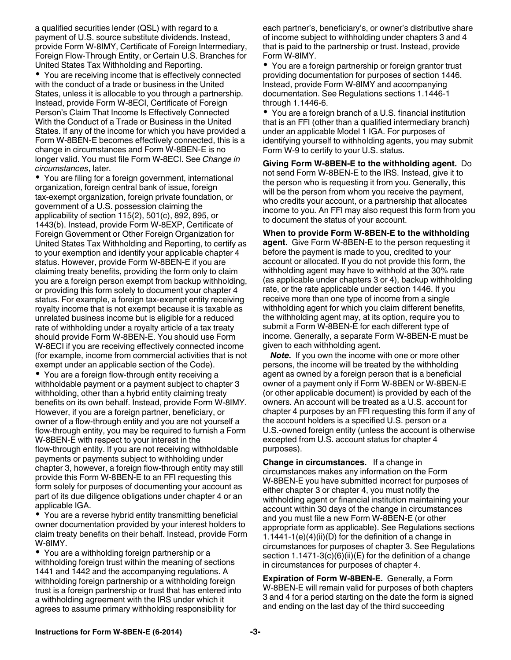a qualified securities lender (QSL) with regard to a payment of U.S. source substitute dividends. Instead, provide Form W-8IMY, Certificate of Foreign Intermediary, Foreign Flow-Through Entity, or Certain U.S. Branches for United States Tax Withholding and Reporting.

You are receiving income that is effectively connected with the conduct of a trade or business in the United States, unless it is allocable to you through a partnership. Instead, provide Form W-8ECI, Certificate of Foreign Person's Claim That Income Is Effectively Connected With the Conduct of a Trade or Business in the United States. If any of the income for which you have provided a Form W-8BEN-E becomes effectively connected, this is a change in circumstances and Form W-8BEN-E is no longer valid. You must file Form W-8ECI. See *Change in circumstances*, later.

You are filing for a foreign government, international organization, foreign central bank of issue, foreign tax-exempt organization, foreign private foundation, or government of a U.S. possession claiming the applicability of section 115(2), 501(c), 892, 895, or 1443(b). Instead, provide Form W-8EXP, Certificate of Foreign Government or Other Foreign Organization for United States Tax Withholding and Reporting, to certify as to your exemption and identify your applicable chapter 4 status. However, provide Form W-8BEN-E if you are claiming treaty benefits, providing the form only to claim you are a foreign person exempt from backup withholding, or providing this form solely to document your chapter 4 status. For example, a foreign tax-exempt entity receiving royalty income that is not exempt because it is taxable as unrelated business income but is eligible for a reduced rate of withholding under a royalty article of a tax treaty should provide Form W-8BEN-E. You should use Form W-8ECI if you are receiving effectively connected income (for example, income from commercial activities that is not exempt under an applicable section of the Code).

You are a foreign flow-through entity receiving a withholdable payment or a payment subject to chapter 3 withholding, other than a hybrid entity claiming treaty benefits on its own behalf. Instead, provide Form W-8IMY. However, if you are a foreign partner, beneficiary, or owner of a flow-through entity and you are not yourself a flow-through entity, you may be required to furnish a Form W-8BEN-E with respect to your interest in the flow-through entity. If you are not receiving withholdable payments or payments subject to withholding under chapter 3, however, a foreign flow-through entity may still provide this Form W-8BEN-E to an FFI requesting this form solely for purposes of documenting your account as part of its due diligence obligations under chapter 4 or an applicable IGA.

You are a reverse hybrid entity transmitting beneficial owner documentation provided by your interest holders to claim treaty benefits on their behalf. Instead, provide Form W-8IMY.

You are a withholding foreign partnership or a withholding foreign trust within the meaning of sections 1441 and 1442 and the accompanying regulations. A withholding foreign partnership or a withholding foreign trust is a foreign partnership or trust that has entered into a withholding agreement with the IRS under which it agrees to assume primary withholding responsibility for

each partner's, beneficiary's, or owner's distributive share of income subject to withholding under chapters 3 and 4 that is paid to the partnership or trust. Instead, provide Form W-8IMY.

You are a foreign partnership or foreign grantor trust providing documentation for purposes of section 1446. Instead, provide Form W-8IMY and accompanying documentation. See Regulations sections 1.1446-1 through 1.1446-6.

You are a foreign branch of a U.S. financial institution that is an FFI (other than a qualified intermediary branch) under an applicable Model 1 IGA. For purposes of identifying yourself to withholding agents, you may submit Form W-9 to certify to your U.S. status.

**Giving Form W-8BEN-E to the withholding agent.** Do not send Form W-8BEN-E to the IRS. Instead, give it to the person who is requesting it from you. Generally, this will be the person from whom you receive the payment, who credits your account, or a partnership that allocates income to you. An FFI may also request this form from you to document the status of your account.

**When to provide Form W-8BEN-E to the withholding agent.** Give Form W-8BEN-E to the person requesting it before the payment is made to you, credited to your account or allocated. If you do not provide this form, the withholding agent may have to withhold at the 30% rate (as applicable under chapters 3 or 4), backup withholding rate, or the rate applicable under section 1446. If you receive more than one type of income from a single withholding agent for which you claim different benefits, the withholding agent may, at its option, require you to submit a Form W-8BEN-E for each different type of income. Generally, a separate Form W-8BEN-E must be given to each withholding agent.

*Note.* If you own the income with one or more other persons, the income will be treated by the withholding agent as owned by a foreign person that is a beneficial owner of a payment only if Form W-8BEN or W-8BEN-E (or other applicable document) is provided by each of the owners. An account will be treated as a U.S. account for chapter 4 purposes by an FFI requesting this form if any of the account holders is a specified U.S. person or a U.S.-owned foreign entity (unless the account is otherwise excepted from U.S. account status for chapter 4 purposes).

**Change in circumstances.** If a change in circumstances makes any information on the Form W-8BEN-E you have submitted incorrect for purposes of either chapter 3 or chapter 4, you must notify the withholding agent or financial institution maintaining your account within 30 days of the change in circumstances and you must file a new Form W-8BEN-E (or other appropriate form as applicable). See Regulations sections 1.1441-1(e)(4)(ii)(D) for the definition of a change in circumstances for purposes of chapter 3. See Regulations section  $1.1471-3(c)(6)(ii)(E)$  for the definition of a change in circumstances for purposes of chapter 4.

**Expiration of Form W-8BEN-E.** Generally, a Form W-8BEN-E will remain valid for purposes of both chapters 3 and 4 for a period starting on the date the form is signed and ending on the last day of the third succeeding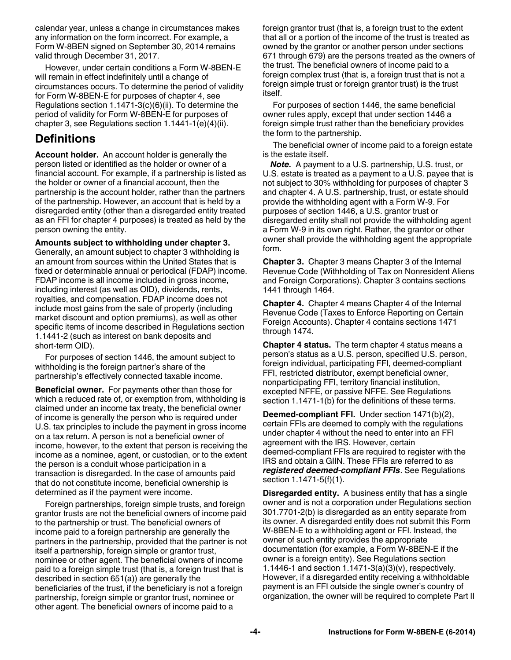calendar year, unless a change in circumstances makes any information on the form incorrect. For example, a Form W-8BEN signed on September 30, 2014 remains valid through December 31, 2017.

However, under certain conditions a Form W-8BEN-E will remain in effect indefinitely until a change of circumstances occurs. To determine the period of validity for Form W-8BEN-E for purposes of chapter 4, see Regulations section 1.1471-3(c)(6)(ii). To determine the period of validity for Form W-8BEN-E for purposes of chapter 3, see Regulations section 1.1441-1(e)(4)(ii).

#### **Definitions**

**Account holder.** An account holder is generally the person listed or identified as the holder or owner of a financial account. For example, if a partnership is listed as the holder or owner of a financial account, then the partnership is the account holder, rather than the partners of the partnership. However, an account that is held by a disregarded entity (other than a disregarded entity treated as an FFI for chapter 4 purposes) is treated as held by the person owning the entity.

**Amounts subject to withholding under chapter 3.**  Generally, an amount subject to chapter 3 withholding is an amount from sources within the United States that is fixed or determinable annual or periodical (FDAP) income. FDAP income is all income included in gross income, including interest (as well as OID), dividends, rents, royalties, and compensation. FDAP income does not include most gains from the sale of property (including market discount and option premiums), as well as other specific items of income described in Regulations section 1.1441-2 (such as interest on bank deposits and short-term OID).

For purposes of section 1446, the amount subject to withholding is the foreign partner's share of the partnership's effectively connected taxable income.

**Beneficial owner.** For payments other than those for which a reduced rate of, or exemption from, withholding is claimed under an income tax treaty, the beneficial owner of income is generally the person who is required under U.S. tax principles to include the payment in gross income on a tax return. A person is not a beneficial owner of income, however, to the extent that person is receiving the income as a nominee, agent, or custodian, or to the extent the person is a conduit whose participation in a transaction is disregarded. In the case of amounts paid that do not constitute income, beneficial ownership is determined as if the payment were income.

Foreign partnerships, foreign simple trusts, and foreign grantor trusts are not the beneficial owners of income paid to the partnership or trust. The beneficial owners of income paid to a foreign partnership are generally the partners in the partnership, provided that the partner is not itself a partnership, foreign simple or grantor trust, nominee or other agent. The beneficial owners of income paid to a foreign simple trust (that is, a foreign trust that is described in section 651(a)) are generally the beneficiaries of the trust, if the beneficiary is not a foreign partnership, foreign simple or grantor trust, nominee or other agent. The beneficial owners of income paid to a

foreign grantor trust (that is, a foreign trust to the extent that all or a portion of the income of the trust is treated as owned by the grantor or another person under sections 671 through 679) are the persons treated as the owners of the trust. The beneficial owners of income paid to a foreign complex trust (that is, a foreign trust that is not a foreign simple trust or foreign grantor trust) is the trust itself.

For purposes of section 1446, the same beneficial owner rules apply, except that under section 1446 a foreign simple trust rather than the beneficiary provides the form to the partnership.

The beneficial owner of income paid to a foreign estate is the estate itself.

*Note.* A payment to a U.S. partnership, U.S. trust, or U.S. estate is treated as a payment to a U.S. payee that is not subject to 30% withholding for purposes of chapter 3 and chapter 4. A U.S. partnership, trust, or estate should provide the withholding agent with a Form W-9. For purposes of section 1446, a U.S. grantor trust or disregarded entity shall not provide the withholding agent a Form W-9 in its own right. Rather, the grantor or other owner shall provide the withholding agent the appropriate form.

**Chapter 3.** Chapter 3 means Chapter 3 of the Internal Revenue Code (Withholding of Tax on Nonresident Aliens and Foreign Corporations). Chapter 3 contains sections 1441 through 1464.

**Chapter 4.** Chapter 4 means Chapter 4 of the Internal Revenue Code (Taxes to Enforce Reporting on Certain Foreign Accounts). Chapter 4 contains sections 1471 through 1474.

**Chapter 4 status.** The term chapter 4 status means a person's status as a U.S. person, specified U.S. person, foreign individual, participating FFI, deemed-compliant FFI, restricted distributor, exempt beneficial owner, nonparticipating FFI, territory financial institution, excepted NFFE, or passive NFFE. See Regulations section 1.1471-1(b) for the definitions of these terms.

**Deemed-compliant FFI.** Under section 1471(b)(2), certain FFIs are deemed to comply with the regulations under chapter 4 without the need to enter into an FFI agreement with the IRS. However, certain deemed-compliant FFIs are required to register with the IRS and obtain a GIIN. These FFIs are referred to as *registered deemed-compliant FFIs*. See Regulations section 1.1471-5(f)(1).

**Disregarded entity.** A business entity that has a single owner and is not a corporation under Regulations section 301.7701-2(b) is disregarded as an entity separate from its owner. A disregarded entity does not submit this Form W-8BEN-E to a withholding agent or FFI. Instead, the owner of such entity provides the appropriate documentation (for example, a Form W-8BEN-E if the owner is a foreign entity). See Regulations section 1.1446-1 and section 1.1471-3(a)(3)(v), respectively. However, if a disregarded entity receiving a withholdable payment is an FFI outside the single owner's country of organization, the owner will be required to complete Part II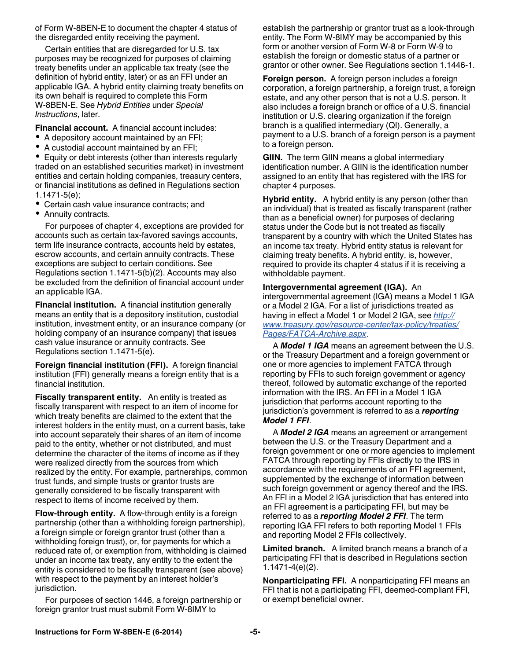of Form W-8BEN-E to document the chapter 4 status of the disregarded entity receiving the payment.

Certain entities that are disregarded for U.S. tax purposes may be recognized for purposes of claiming treaty benefits under an applicable tax treaty (see the definition of hybrid entity, later) or as an FFI under an applicable IGA. A hybrid entity claiming treaty benefits on its own behalf is required to complete this Form W-8BEN-E. See *Hybrid Entities* under *Special Instructions*, later.

**Financial account.** A financial account includes:

- A depository account maintained by an FFI;
- A custodial account maintained by an FFI;
- $\bullet$ Equity or debt interests (other than interests regularly traded on an established securities market) in investment entities and certain holding companies, treasury centers, or financial institutions as defined in Regulations section 1.1471-5(e);
- Certain cash value insurance contracts; and
- Annuity contracts.

For purposes of chapter 4, exceptions are provided for accounts such as certain tax-favored savings accounts, term life insurance contracts, accounts held by estates, escrow accounts, and certain annuity contracts. These exceptions are subject to certain conditions. See Regulations section 1.1471-5(b)(2). Accounts may also be excluded from the definition of financial account under an applicable IGA.

**Financial institution.** A financial institution generally means an entity that is a depository institution, custodial institution, investment entity, or an insurance company (or holding company of an insurance company) that issues cash value insurance or annuity contracts. See Regulations section 1.1471-5(e).

**Foreign financial institution (FFI).** A foreign financial institution (FFI) generally means a foreign entity that is a financial institution.

**Fiscally transparent entity.** An entity is treated as fiscally transparent with respect to an item of income for which treaty benefits are claimed to the extent that the interest holders in the entity must, on a current basis, take into account separately their shares of an item of income paid to the entity, whether or not distributed, and must determine the character of the items of income as if they were realized directly from the sources from which realized by the entity. For example, partnerships, common trust funds, and simple trusts or grantor trusts are generally considered to be fiscally transparent with respect to items of income received by them.

**Flow-through entity.** A flow-through entity is a foreign partnership (other than a withholding foreign partnership), a foreign simple or foreign grantor trust (other than a withholding foreign trust), or, for payments for which a reduced rate of, or exemption from, withholding is claimed under an income tax treaty, any entity to the extent the entity is considered to be fiscally transparent (see above) with respect to the payment by an interest holder's jurisdiction.

For purposes of section 1446, a foreign partnership or foreign grantor trust must submit Form W-8IMY to

establish the partnership or grantor trust as a look-through entity. The Form W-8IMY may be accompanied by this form or another version of Form W-8 or Form W-9 to establish the foreign or domestic status of a partner or grantor or other owner. See Regulations section 1.1446-1.

**Foreign person.** A foreign person includes a foreign corporation, a foreign partnership, a foreign trust, a foreign estate, and any other person that is not a U.S. person. It also includes a foreign branch or office of a U.S. financial institution or U.S. clearing organization if the foreign branch is a qualified intermediary (QI). Generally, a payment to a U.S. branch of a foreign person is a payment to a foreign person.

**GIIN.** The term GIIN means a global intermediary identification number. A GIIN is the identification number assigned to an entity that has registered with the IRS for chapter 4 purposes.

**Hybrid entity.** A hybrid entity is any person (other than an individual) that is treated as fiscally transparent (rather than as a beneficial owner) for purposes of declaring status under the Code but is not treated as fiscally transparent by a country with which the United States has an income tax treaty. Hybrid entity status is relevant for claiming treaty benefits. A hybrid entity, is, however, required to provide its chapter 4 status if it is receiving a withholdable payment.

**Intergovernmental agreement (IGA).** An intergovernmental agreement (IGA) means a Model 1 IGA or a Model 2 IGA. For a list of jurisdictions treated as having in effect a Model 1 or Model 2 IGA, see *[http://](http://www.treasury.gov/resource-center/tax-policy/treaties/Pages/FATCA-Archive.aspx) [www.treasury.gov/resource-center/tax-policy/treaties/](http://www.treasury.gov/resource-center/tax-policy/treaties/Pages/FATCA-Archive.aspx) [Pages/FATCA-Archive.aspx](http://www.treasury.gov/resource-center/tax-policy/treaties/Pages/FATCA-Archive.aspx)*.

A *Model 1 IGA* means an agreement between the U.S. or the Treasury Department and a foreign government or one or more agencies to implement FATCA through reporting by FFIs to such foreign government or agency thereof, followed by automatic exchange of the reported information with the IRS. An FFI in a Model 1 IGA jurisdiction that performs account reporting to the jurisdiction's government is referred to as a *reporting Model 1 FFI*.

A *Model 2 IGA* means an agreement or arrangement between the U.S. or the Treasury Department and a foreign government or one or more agencies to implement FATCA through reporting by FFIs directly to the IRS in accordance with the requirements of an FFI agreement, supplemented by the exchange of information between such foreign government or agency thereof and the IRS. An FFI in a Model 2 IGA jurisdiction that has entered into an FFI agreement is a participating FFI, but may be referred to as a *reporting Model 2 FFI*. The term reporting IGA FFI refers to both reporting Model 1 FFIs and reporting Model 2 FFIs collectively.

**Limited branch.** A limited branch means a branch of a participating FFI that is described in Regulations section 1.1471-4(e)(2).

**Nonparticipating FFI.** A nonparticipating FFI means an FFI that is not a participating FFI, deemed-compliant FFI, or exempt beneficial owner.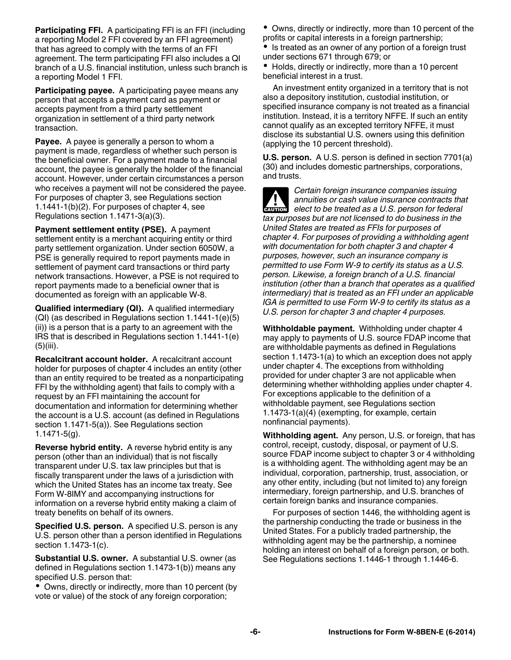**Participating FFI.** A participating FFI is an FFI (including a reporting Model 2 FFI covered by an FFI agreement) that has agreed to comply with the terms of an FFI agreement. The term participating FFI also includes a QI branch of a U.S. financial institution, unless such branch is a reporting Model 1 FFI.

**Participating payee.** A participating payee means any person that accepts a payment card as payment or accepts payment from a third party settlement organization in settlement of a third party network transaction.

**Payee.** A payee is generally a person to whom a payment is made, regardless of whether such person is the beneficial owner. For a payment made to a financial account, the payee is generally the holder of the financial account. However, under certain circumstances a person who receives a payment will not be considered the payee. For purposes of chapter 3, see Regulations section 1.1441-1(b)(2). For purposes of chapter 4, see Regulations section 1.1471-3(a)(3).

**Payment settlement entity (PSE).** A payment settlement entity is a merchant acquiring entity or third party settlement organization. Under section 6050W, a PSE is generally required to report payments made in settlement of payment card transactions or third party network transactions. However, a PSE is not required to report payments made to a beneficial owner that is documented as foreign with an applicable W-8.

**Qualified intermediary (QI).** A qualified intermediary (QI) (as described in Regulations section 1.1441-1(e)(5) (ii)) is a person that is a party to an agreement with the IRS that is described in Regulations section 1.1441-1(e) (5)(iii).

**Recalcitrant account holder.** A recalcitrant account holder for purposes of chapter 4 includes an entity (other than an entity required to be treated as a nonparticipating FFI by the withholding agent) that fails to comply with a request by an FFI maintaining the account for documentation and information for determining whether the account is a U.S. account (as defined in Regulations section 1.1471-5(a)). See Regulations section 1.1471-5(g).

**Reverse hybrid entity.** A reverse hybrid entity is any person (other than an individual) that is not fiscally transparent under U.S. tax law principles but that is fiscally transparent under the laws of a jurisdiction with which the United States has an income tax treaty. See Form W-8IMY and accompanying instructions for information on a reverse hybrid entity making a claim of treaty benefits on behalf of its owners.

**Specified U.S. person.** A specified U.S. person is any U.S. person other than a person identified in Regulations section 1.1473-1(c).

**Substantial U.S. owner.** A substantial U.S. owner (as defined in Regulations section 1.1473-1(b)) means any specified U.S. person that:

Owns, directly or indirectly, more than 10 percent (by vote or value) of the stock of any foreign corporation;

Owns, directly or indirectly, more than 10 percent of the profits or capital interests in a foreign partnership;

 $\bullet$ Is treated as an owner of any portion of a foreign trust under sections 671 through 679; or

• Holds, directly or indirectly, more than a 10 percent beneficial interest in a trust.

An investment entity organized in a territory that is not also a depository institution, custodial institution, or specified insurance company is not treated as a financial institution. Instead, it is a territory NFFE. If such an entity cannot qualify as an excepted territory NFFE, it must disclose its substantial U.S. owners using this definition (applying the 10 percent threshold).

**U.S. person.** A U.S. person is defined in section 7701(a) (30) and includes domestic partnerships, corporations, and trusts.

*Certain foreign insurance companies issuing annuities or cash value insurance contracts that*  **extracts** annuities or cash value insurance contracts that elect to be treated as a U.S. person for federal *tax purposes but are not licensed to do business in the United States are treated as FFIs for purposes of chapter 4. For purposes of providing a withholding agent with documentation for both chapter 3 and chapter 4 purposes, however, such an insurance company is permitted to use Form W-9 to certify its status as a U.S. person. Likewise, a foreign branch of a U.S. financial institution (other than a branch that operates as a qualified intermediary) that is treated as an FFI under an applicable IGA is permitted to use Form W-9 to certify its status as a U.S. person for chapter 3 and chapter 4 purposes.*

**Withholdable payment.** Withholding under chapter 4 may apply to payments of U.S. source FDAP income that are withholdable payments as defined in Regulations section 1.1473-1(a) to which an exception does not apply under chapter 4. The exceptions from withholding provided for under chapter 3 are not applicable when determining whether withholding applies under chapter 4. For exceptions applicable to the definition of a withholdable payment, see Regulations section 1.1473-1(a)(4) (exempting, for example, certain nonfinancial payments).

**Withholding agent.** Any person, U.S. or foreign, that has control, receipt, custody, disposal, or payment of U.S. source FDAP income subject to chapter 3 or 4 withholding is a withholding agent. The withholding agent may be an individual, corporation, partnership, trust, association, or any other entity, including (but not limited to) any foreign intermediary, foreign partnership, and U.S. branches of certain foreign banks and insurance companies.

For purposes of section 1446, the withholding agent is the partnership conducting the trade or business in the United States. For a publicly traded partnership, the withholding agent may be the partnership, a nominee holding an interest on behalf of a foreign person, or both. See Regulations sections 1.1446-1 through 1.1446-6.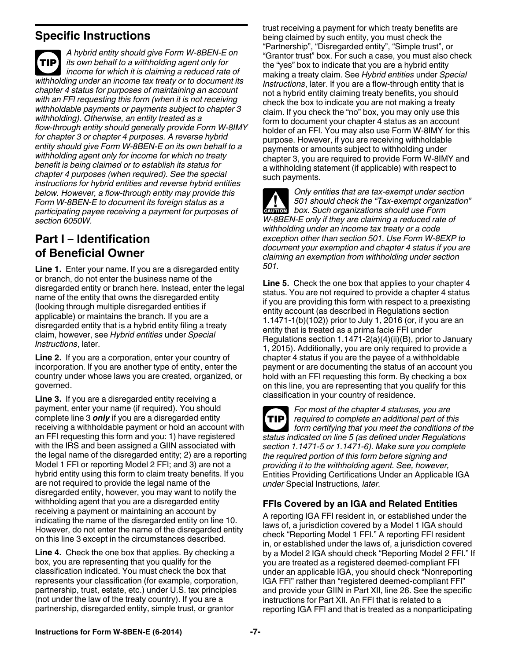#### **Specific Instructions**

*A hybrid entity should give Form W-8BEN-E on its own behalf to a withholding agent only for income for which it is claiming a reduced rate of withholding under an income tax treaty or to document its chapter 4 status for purposes of maintaining an account with an FFI requesting this form (when it is not receiving withholdable payments or payments subject to chapter 3 withholding). Otherwise, an entity treated as a flow-through entity should generally provide Form W-8IMY for chapter 3 or chapter 4 purposes. A reverse hybrid entity should give Form W-8BEN-E on its own behalf to a withholding agent only for income for which no treaty benefit is being claimed or to establish its status for chapter 4 purposes (when required). See the special instructions for hybrid entities and reverse hybrid entities below. However, a flow-through entity may provide this Form W-8BEN-E to document its foreign status as a participating payee receiving a payment for purposes of section 6050W.* **TIP**

# **Part I – Identification of Beneficial Owner**

**Line 1.** Enter your name. If you are a disregarded entity or branch, do not enter the business name of the disregarded entity or branch here. Instead, enter the legal name of the entity that owns the disregarded entity (looking through multiple disregarded entities if applicable) or maintains the branch. If you are a disregarded entity that is a hybrid entity filing a treaty claim, however, see *Hybrid entities* under *Special Instructions*, later.

**Line 2.** If you are a corporation, enter your country of incorporation. If you are another type of entity, enter the country under whose laws you are created, organized, or governed.

**Line 3.** If you are a disregarded entity receiving a payment, enter your name (if required). You should complete line 3 *only* if you are a disregarded entity receiving a withholdable payment or hold an account with an FFI requesting this form and you: 1) have registered with the IRS and been assigned a GIIN associated with the legal name of the disregarded entity; 2) are a reporting Model 1 FFI or reporting Model 2 FFI; and 3) are not a hybrid entity using this form to claim treaty benefits. If you are not required to provide the legal name of the disregarded entity, however, you may want to notify the withholding agent that you are a disregarded entity receiving a payment or maintaining an account by indicating the name of the disregarded entity on line 10. However, do not enter the name of the disregarded entity on this line 3 except in the circumstances described.

**Line 4.** Check the one box that applies. By checking a box, you are representing that you qualify for the classification indicated. You must check the box that represents your classification (for example, corporation, partnership, trust, estate, etc.) under U.S. tax principles (not under the law of the treaty country). If you are a partnership, disregarded entity, simple trust, or grantor

trust receiving a payment for which treaty benefits are being claimed by such entity, you must check the "Partnership", "Disregarded entity", "Simple trust", or "Grantor trust" box. For such a case, you must also check the "yes" box to indicate that you are a hybrid entity making a treaty claim. See *Hybrid entities* under *Special Instructions*, later. If you are a flow-through entity that is not a hybrid entity claiming treaty benefits, you should check the box to indicate you are not making a treaty claim. If you check the "no" box, you may only use this form to document your chapter 4 status as an account holder of an FFI. You may also use Form W-8IMY for this purpose. However, if you are receiving withholdable payments or amounts subject to withholding under chapter 3, you are required to provide Form W-8IMY and a withholding statement (if applicable) with respect to such payments.

*Only entities that are tax-exempt under section 501 should check the "Tax-exempt organization"*  **box.** Such organizations should use Form **box.** Such organizations should use Form *W-8BEN-E only if they are claiming a reduced rate of withholding under an income tax treaty or a code exception other than section 501. Use Form W-8EXP to document your exemption and chapter 4 status if you are claiming an exemption from withholding under section 501.*

**Line 5.** Check the one box that applies to your chapter 4 status. You are not required to provide a chapter 4 status if you are providing this form with respect to a preexisting entity account (as described in Regulations section 1.1471-1(b)(102)) prior to July 1, 2016 (or, if you are an entity that is treated as a prima facie FFI under Regulations section 1.1471-2(a)(4)(ii)(B), prior to January 1, 2015). Additionally, you are only required to provide a chapter 4 status if you are the payee of a withholdable payment or are documenting the status of an account you hold with an FFI requesting this form. By checking a box on this line, you are representing that you qualify for this classification in your country of residence.

*For most of the chapter 4 statuses, you are required to complete an additional part of this form certifying that you meet the conditions of the status indicated on line 5 (as defined under Regulations section 1.1471-5 or 1.1471-6). Make sure you complete the required portion of this form before signing and providing it to the withholding agent. See, however,*  Entities Providing Certifications Under an Applicable IGA *under* Special Instructions*, later.* **TIP**

#### **FFIs Covered by an IGA and Related Entities**

A reporting IGA FFI resident in, or established under the laws of, a jurisdiction covered by a Model 1 IGA should check "Reporting Model 1 FFI." A reporting FFI resident in, or established under the laws of, a jurisdiction covered by a Model 2 IGA should check "Reporting Model 2 FFI." If you are treated as a registered deemed-compliant FFI under an applicable IGA, you should check "Nonreporting IGA FFI" rather than "registered deemed-compliant FFI" and provide your GIIN in Part XII, line 26. See the specific instructions for Part XII. An FFI that is related to a reporting IGA FFI and that is treated as a nonparticipating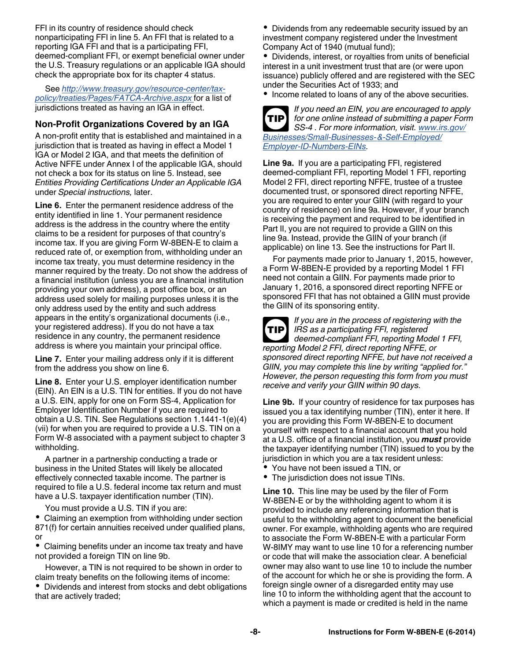FFI in its country of residence should check nonparticipating FFI in line 5. An FFI that is related to a reporting IGA FFI and that is a participating FFI, deemed-compliant FFI, or exempt beneficial owner under the U.S. Treasury regulations or an applicable IGA should check the appropriate box for its chapter 4 status.

See *[http://www.treasury.gov/resource-center/tax](http://www.treasury.gov/resource-center/tax-policy/treaties/Pages/FATCA-Archive.aspx)[policy/treaties/Pages/FATCA-Archive.aspx](http://www.treasury.gov/resource-center/tax-policy/treaties/Pages/FATCA-Archive.aspx)* for a list of jurisdictions treated as having an IGA in effect.

#### **Non-Profit Organizations Covered by an IGA**

A non-profit entity that is established and maintained in a jurisdiction that is treated as having in effect a Model 1 IGA or Model 2 IGA, and that meets the definition of Active NFFE under Annex I of the applicable IGA, should not check a box for its status on line 5. Instead, see *Entities Providing Certifications Under an Applicable IGA*  under *Special instructions,* later.

**Line 6.** Enter the permanent residence address of the entity identified in line 1. Your permanent residence address is the address in the country where the entity claims to be a resident for purposes of that country's income tax. If you are giving Form W-8BEN-E to claim a reduced rate of, or exemption from, withholding under an income tax treaty, you must determine residency in the manner required by the treaty. Do not show the address of a financial institution (unless you are a financial institution providing your own address), a post office box, or an address used solely for mailing purposes unless it is the only address used by the entity and such address appears in the entity's organizational documents (i.e., your registered address). If you do not have a tax residence in any country, the permanent residence address is where you maintain your principal office.

**Line 7.** Enter your mailing address only if it is different from the address you show on line 6.

**Line 8.** Enter your U.S. employer identification number (EIN). An EIN is a U.S. TIN for entities. If you do not have a U.S. EIN, apply for one on Form SS-4, Application for Employer Identification Number if you are required to obtain a U.S. TIN. See Regulations section 1.1441-1(e)(4) (vii) for when you are required to provide a U.S. TIN on a Form W-8 associated with a payment subject to chapter 3 withholding.

A partner in a partnership conducting a trade or business in the United States will likely be allocated effectively connected taxable income. The partner is required to file a U.S. federal income tax return and must have a U.S. taxpayer identification number (TIN).

You must provide a U.S. TIN if you are:

Claiming an exemption from withholding under section 871(f) for certain annuities received under qualified plans, or

Claiming benefits under an income tax treaty and have not provided a foreign TIN on line 9b.

However, a TIN is not required to be shown in order to claim treaty benefits on the following items of income:

Dividends and interest from stocks and debt obligations that are actively traded;

Dividends from any redeemable security issued by an investment company registered under the Investment Company Act of 1940 (mutual fund);

Dividends, interest, or royalties from units of beneficial interest in a unit investment trust that are (or were upon issuance) publicly offered and are registered with the SEC under the Securities Act of 1933; and

• Income related to loans of any of the above securities.



*If you need an EIN, you are encouraged to apply for one online instead of submitting a paper Form SS-4 . For more information, visit. [www.irs.gov/](http://www.irs.gov/Businesses/Small-Businesses-&-Self-Employed/Employer-ID-Numbers-EINs) [Businesses/Small-Businesses-&-Self-Employed/](http://www.irs.gov/Businesses/Small-Businesses-&-Self-Employed/Employer-ID-Numbers-EINs) [Employer-ID-Numbers-EINs.](http://www.irs.gov/Businesses/Small-Businesses-&-Self-Employed/Employer-ID-Numbers-EINs)*

**Line 9a.** If you are a participating FFI, registered deemed-compliant FFI, reporting Model 1 FFI, reporting Model 2 FFI, direct reporting NFFE, trustee of a trustee documented trust, or sponsored direct reporting NFFE, you are required to enter your GIIN (with regard to your country of residence) on line 9a. However, if your branch is receiving the payment and required to be identified in Part II, you are not required to provide a GIIN on this line 9a. Instead, provide the GIIN of your branch (if applicable) on line 13. See the instructions for Part II.

For payments made prior to January 1, 2015, however, a Form W-8BEN-E provided by a reporting Model 1 FFI need not contain a GIIN. For payments made prior to January 1, 2016, a sponsored direct reporting NFFE or sponsored FFI that has not obtained a GIIN must provide the GIIN of its sponsoring entity.

**TIP**

*If you are in the process of registering with the IRS as a participating FFI, registered deemed-compliant FFI, reporting Model 1 FFI, reporting Model 2 FFI, direct reporting NFFE, or* 

*sponsored direct reporting NFFE, but have not received a GIIN, you may complete this line by writing "applied for." However, the person requesting this form from you must receive and verify your GIIN within 90 days.*

**Line 9b.** If your country of residence for tax purposes has issued you a tax identifying number (TIN), enter it here. If you are providing this Form W-8BEN-E to document yourself with respect to a financial account that you hold at a U.S. office of a financial institution, you *must* provide the taxpayer identifying number (TIN) issued to you by the jurisdiction in which you are a tax resident unless:

- You have not been issued a TIN, or
- The jurisdiction does not issue TINs.

**Line 10.** This line may be used by the filer of Form W-8BEN-E or by the withholding agent to whom it is provided to include any referencing information that is useful to the withholding agent to document the beneficial owner. For example, withholding agents who are required to associate the Form W-8BEN-E with a particular Form W-8IMY may want to use line 10 for a referencing number or code that will make the association clear. A beneficial owner may also want to use line 10 to include the number of the account for which he or she is providing the form. A foreign single owner of a disregarded entity may use line 10 to inform the withholding agent that the account to which a payment is made or credited is held in the name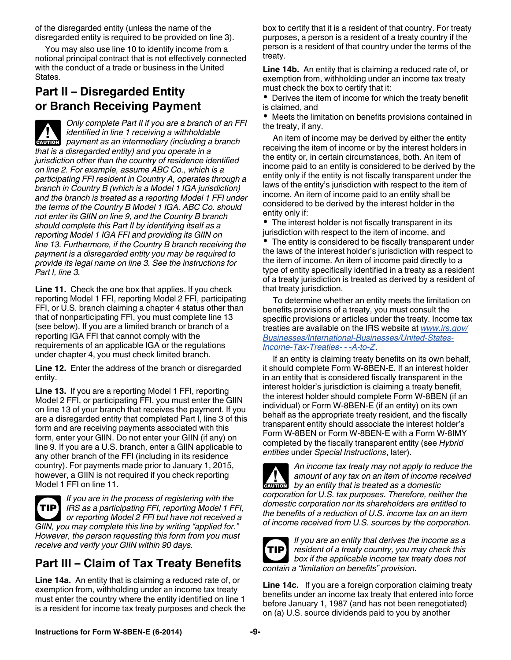of the disregarded entity (unless the name of the disregarded entity is required to be provided on line 3).

You may also use line 10 to identify income from a notional principal contract that is not effectively connected with the conduct of a trade or business in the United States.

# **Part II – Disregarded Entity or Branch Receiving Payment**

*Only complete Part II if you are a branch of an FFI identified in line 1 receiving a withholdable payment as an intermediary (including a branch payment as an intermediary (including a branch that is a disregarded entity) and you operate in a jurisdiction other than the country of residence identified on line 2. For example, assume ABC Co., which is a participating FFI resident in Country A, operates through a branch in Country B (which is a Model 1 IGA jurisdiction) and the branch is treated as a reporting Model 1 FFI under the terms of the Country B Model 1 IGA. ABC Co. should not enter its GIIN on line 9, and the Country B branch should complete this Part II by identifying itself as a reporting Model 1 IGA FFI and providing its GIIN on line 13. Furthermore, if the Country B branch receiving the payment is a disregarded entity you may be required to provide its legal name on line 3. See the instructions for Part I, line 3.*

**Line 11.** Check the one box that applies. If you check reporting Model 1 FFI, reporting Model 2 FFI, participating FFI, or U.S. branch claiming a chapter 4 status other than that of nonparticipating FFI, you must complete line 13 (see below). If you are a limited branch or branch of a reporting IGA FFI that cannot comply with the requirements of an applicable IGA or the regulations under chapter 4, you must check limited branch.

**Line 12.** Enter the address of the branch or disregarded entity.

**Line 13.** If you are a reporting Model 1 FFI, reporting Model 2 FFI, or participating FFI, you must enter the GIIN on line 13 of your branch that receives the payment. If you are a disregarded entity that completed Part I, line 3 of this form and are receiving payments associated with this form, enter your GIIN. Do not enter your GIIN (if any) on line 9. If you are a U.S. branch, enter a GIIN applicable to any other branch of the FFI (including in its residence country). For payments made prior to January 1, 2015, however, a GIIN is not required if you check reporting Model 1 FFI on line 11.

*If you are in the process of registering with the IRS as a participating FFI, reporting Model 1 FFI,*  **TIP** *or reporting Model 2 FFI but have not received a GIIN, you may complete this line by writing "applied for." However, the person requesting this form from you must receive and verify your GIIN within 90 days.*

# **Part III – Claim of Tax Treaty Benefits**

**Line 14a.** An entity that is claiming a reduced rate of, or exemption from, withholding under an income tax treaty must enter the country where the entity identified on line 1 is a resident for income tax treaty purposes and check the box to certify that it is a resident of that country. For treaty purposes, a person is a resident of a treaty country if the person is a resident of that country under the terms of the treaty.

**Line 14b.** An entity that is claiming a reduced rate of, or exemption from, withholding under an income tax treaty must check the box to certify that it:

Derives the item of income for which the treaty benefit is claimed, and

Meets the limitation on benefits provisions contained in the treaty, if any.

An item of income may be derived by either the entity receiving the item of income or by the interest holders in the entity or, in certain circumstances, both. An item of income paid to an entity is considered to be derived by the entity only if the entity is not fiscally transparent under the laws of the entity's jurisdiction with respect to the item of income. An item of income paid to an entity shall be considered to be derived by the interest holder in the entity only if:

The interest holder is not fiscally transparent in its jurisdiction with respect to the item of income, and

The entity is considered to be fiscally transparent under the laws of the interest holder's jurisdiction with respect to the item of income. An item of income paid directly to a type of entity specifically identified in a treaty as a resident of a treaty jurisdiction is treated as derived by a resident of that treaty jurisdiction.

To determine whether an entity meets the limitation on benefits provisions of a treaty, you must consult the specific provisions or articles under the treaty. Income tax treaties are available on the IRS website at *[www.irs.gov/](http://www.irs.gov/Businesses/International-Businesses/United-States-Income-Tax-Treaties---A-to-Z) [Businesses/International-Businesses/United-States-](http://www.irs.gov/Businesses/International-Businesses/United-States-Income-Tax-Treaties---A-to-Z)[Income-Tax-Treaties- - -A-to-Z](http://www.irs.gov/Businesses/International-Businesses/United-States-Income-Tax-Treaties---A-to-Z)*.

If an entity is claiming treaty benefits on its own behalf, it should complete Form W-8BEN-E. If an interest holder in an entity that is considered fiscally transparent in the interest holder's jurisdiction is claiming a treaty benefit, the interest holder should complete Form W-8BEN (if an individual) or Form W-8BEN-E (if an entity) on its own behalf as the appropriate treaty resident, and the fiscally transparent entity should associate the interest holder's Form W-8BEN or Form W-8BEN-E with a Form W-8IMY completed by the fiscally transparent entity (see *Hybrid entities* under *Special Instructions*, later).

*An income tax treaty may not apply to reduce the amount of any tax on an item of income received*  **by an entity that is treated as a domestic in the property by an entity that is treated as a domestic** *corporation for U.S. tax purposes. Therefore, neither the domestic corporation nor its shareholders are entitled to the benefits of a reduction of U.S. income tax on an item of income received from U.S. sources by the corporation.*



*If you are an entity that derives the income as a resident of a treaty country, you may check this box if the applicable income tax treaty does not contain a "limitation on benefits" provision.*

**Line 14c.** If you are a foreign corporation claiming treaty benefits under an income tax treaty that entered into force before January 1, 1987 (and has not been renegotiated) on (a) U.S. source dividends paid to you by another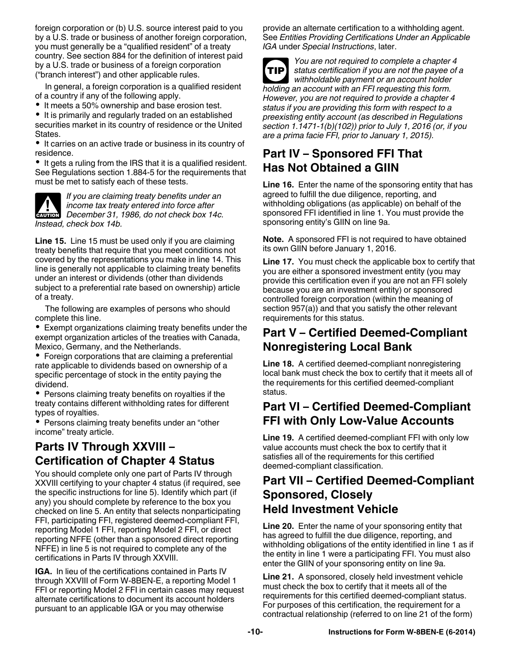foreign corporation or (b) U.S. source interest paid to you by a U.S. trade or business of another foreign corporation, you must generally be a "qualified resident" of a treaty country. See section 884 for the definition of interest paid by a U.S. trade or business of a foreign corporation ("branch interest") and other applicable rules.

In general, a foreign corporation is a qualified resident of a country if any of the following apply.

• It meets a 50% ownership and base erosion test.

• It is primarily and regularly traded on an established securities market in its country of residence or the United States.

• It carries on an active trade or business in its country of residence.

• It gets a ruling from the IRS that it is a qualified resident. See Regulations section 1.884-5 for the requirements that must be met to satisfy each of these tests.



*If you are claiming treaty benefits under an income tax treaty entered into force after*  **DECEMBER 31, 1986, do not check box 14c.**<br> **CAUTION** December 31, 1986, do not check box 14c. *Instead, check box 14b.*

**Line 15.** Line 15 must be used only if you are claiming treaty benefits that require that you meet conditions not covered by the representations you make in line 14. This line is generally not applicable to claiming treaty benefits under an interest or dividends (other than dividends subject to a preferential rate based on ownership) article of a treaty.

The following are examples of persons who should complete this line.

Exempt organizations claiming treaty benefits under the exempt organization articles of the treaties with Canada, Mexico, Germany, and the Netherlands.

Foreign corporations that are claiming a preferential rate applicable to dividends based on ownership of a specific percentage of stock in the entity paying the dividend.

• Persons claiming treaty benefits on royalties if the treaty contains different withholding rates for different types of royalties.

• Persons claiming treaty benefits under an "other income" treaty article.

# **Parts IV Through XXVIII – Certification of Chapter 4 Status**

You should complete only one part of Parts IV through XXVIII certifying to your chapter 4 status (if required, see the specific instructions for line 5). Identify which part (if any) you should complete by reference to the box you checked on line 5. An entity that selects nonparticipating FFI, participating FFI, registered deemed-compliant FFI, reporting Model 1 FFI, reporting Model 2 FFI, or direct reporting NFFE (other than a sponsored direct reporting NFFE) in line 5 is not required to complete any of the certifications in Parts IV through XXVIII.

**IGA.** In lieu of the certifications contained in Parts IV through XXVIII of Form W-8BEN-E, a reporting Model 1 FFI or reporting Model 2 FFI in certain cases may request alternate certifications to document its account holders pursuant to an applicable IGA or you may otherwise

provide an alternate certification to a withholding agent. See *Entities Providing Certifications Under an Applicable IGA* under *Special Instructions*, later.

*You are not required to complete a chapter 4 status certification if you are not the payee of a withholdable payment or an account holder holding an account with an FFI requesting this form. However, you are not required to provide a chapter 4 status if you are providing this form with respect to a preexisting entity account (as described in Regulations section 1.1471-1(b)(102)) prior to July 1, 2016 (or, if you are a prima facie FFI, prior to January 1, 2015).* **TIP**

# **Part IV – Sponsored FFI That Has Not Obtained a GIIN**

**Line 16.** Enter the name of the sponsoring entity that has agreed to fulfill the due diligence, reporting, and withholding obligations (as applicable) on behalf of the sponsored FFI identified in line 1. You must provide the sponsoring entity's GIIN on line 9a.

**Note.** A sponsored FFI is not required to have obtained its own GIIN before January 1, 2016.

**Line 17.** You must check the applicable box to certify that you are either a sponsored investment entity (you may provide this certification even if you are not an FFI solely because you are an investment entity) or sponsored controlled foreign corporation (within the meaning of section 957(a)) and that you satisfy the other relevant requirements for this status.

# **Part V – Certified Deemed-Compliant Nonregistering Local Bank**

**Line 18.** A certified deemed-compliant nonregistering local bank must check the box to certify that it meets all of the requirements for this certified deemed-compliant status.

# **Part VI – Certified Deemed-Compliant FFI with Only Low-Value Accounts**

**Line 19.** A certified deemed-compliant FFI with only low value accounts must check the box to certify that it satisfies all of the requirements for this certified deemed-compliant classification.

### **Part VII – Certified Deemed-Compliant Sponsored, Closely Held Investment Vehicle**

**Line 20.** Enter the name of your sponsoring entity that has agreed to fulfill the due diligence, reporting, and withholding obligations of the entity identified in line 1 as if the entity in line 1 were a participating FFI. You must also enter the GIIN of your sponsoring entity on line 9a.

**Line 21.** A sponsored, closely held investment vehicle must check the box to certify that it meets all of the requirements for this certified deemed-compliant status. For purposes of this certification, the requirement for a contractual relationship (referred to on line 21 of the form)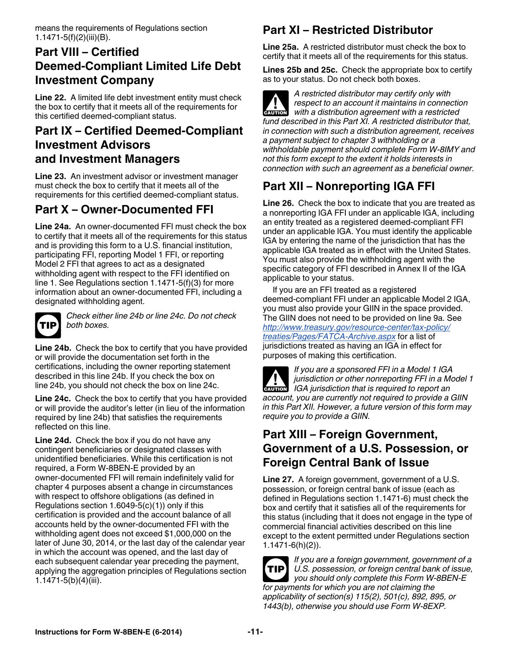means the requirements of Regulations section 1.1471-5(f)(2)(iii)(B).

# **Part VIII – Certified Deemed-Compliant Limited Life Debt Investment Company**

**Line 22.** A limited life debt investment entity must check the box to certify that it meets all of the requirements for this certified deemed-compliant status.

# **Part IX – Certified Deemed-Compliant Investment Advisors and Investment Managers**

**Line 23.** An investment advisor or investment manager must check the box to certify that it meets all of the requirements for this certified deemed-compliant status.

# **Part X – Owner-Documented FFI**

**Line 24a.** An owner-documented FFI must check the box to certify that it meets all of the requirements for this status and is providing this form to a U.S. financial institution, participating FFI, reporting Model 1 FFI, or reporting Model 2 FFI that agrees to act as a designated withholding agent with respect to the FFI identified on line 1. See Regulations section 1.1471-5(f)(3) for more information about an owner-documented FFI, including a designated withholding agent.



*Check either line 24b or line 24c. Do not check both boxes.*

**Line 24b.** Check the box to certify that you have provided or will provide the documentation set forth in the certifications, including the owner reporting statement described in this line 24b. If you check the box on line 24b, you should not check the box on line 24c.

**Line 24c.** Check the box to certify that you have provided or will provide the auditor's letter (in lieu of the information required by line 24b) that satisfies the requirements reflected on this line.

**Line 24d.** Check the box if you do not have any contingent beneficiaries or designated classes with unidentified beneficiaries. While this certification is not required, a Form W-8BEN-E provided by an owner-documented FFI will remain indefinitely valid for chapter 4 purposes absent a change in circumstances with respect to offshore obligations (as defined in Regulations section 1.6049-5(c)(1)) only if this certification is provided and the account balance of all accounts held by the owner-documented FFI with the withholding agent does not exceed \$1,000,000 on the later of June 30, 2014, or the last day of the calendar year in which the account was opened, and the last day of each subsequent calendar year preceding the payment, applying the aggregation principles of Regulations section 1.1471-5 $(b)(4)(iii)$ .

# **Part XI – Restricted Distributor**

**Line 25a.** A restricted distributor must check the box to certify that it meets all of the requirements for this status.

**Lines 25b and 25c.** Check the appropriate box to certify as to your status. Do not check both boxes.

*A restricted distributor may certify only with respect to an account it maintains in connection*  **with a distribution agreement with a restricted with a distribution agreement with a restricted** *fund described in this Part XI. A restricted distributor that, in connection with such a distribution agreement, receives a payment subject to chapter 3 withholding or a withholdable payment should complete Form W-8IMY and not this form except to the extent it holds interests in connection with such an agreement as a beneficial owner.*

# **Part XII – Nonreporting IGA FFI**

**Line 26.** Check the box to indicate that you are treated as a nonreporting IGA FFI under an applicable IGA, including an entity treated as a registered deemed-compliant FFI under an applicable IGA. You must identify the applicable IGA by entering the name of the jurisdiction that has the applicable IGA treated as in effect with the United States. You must also provide the withholding agent with the specific category of FFI described in Annex II of the IGA applicable to your status.

If you are an FFI treated as a registered deemed-compliant FFI under an applicable Model 2 IGA, you must also provide your GIIN in the space provided. The GIIN does not need to be provided on line 9a. See *[http://www.treasury.gov/resource-center/tax-policy/](http://www.treasury.gov/resource-center/tax-policy/treaties/Pages/FATCA-Archive.aspx) [treaties/Pages/FATCA-Archive.aspx](http://www.treasury.gov/resource-center/tax-policy/treaties/Pages/FATCA-Archive.aspx)* for a list of jurisdictions treated as having an IGA in effect for purposes of making this certification.

*If you are a sponsored FFI in a Model 1 IGA jurisdiction or other nonreporting FFI in a Model 1*  **IGA** jurisdiction or other nonreporting FFI in a Measurement of the *IGA* jurisdiction that is required to report an *account, you are currently not required to provide a GIIN in this Part XII. However, a future version of this form may require you to provide a GIIN.*

# **Part XIII – Foreign Government, Government of a U.S. Possession, or Foreign Central Bank of Issue**

**Line 27.** A foreign government, government of a U.S. possession, or foreign central bank of issue (each as defined in Regulations section 1.1471-6) must check the box and certify that it satisfies all of the requirements for this status (including that it does not engage in the type of commercial financial activities described on this line except to the extent permitted under Regulations section 1.1471-6(h)(2)).



*If you are a foreign government, government of a U.S. possession, or foreign central bank of issue, you should only complete this Form W-8BEN-E for payments for which you are not claiming the applicability of section(s) 115(2), 501(c), 892, 895, or 1443(b), otherwise you should use Form W-8EXP.*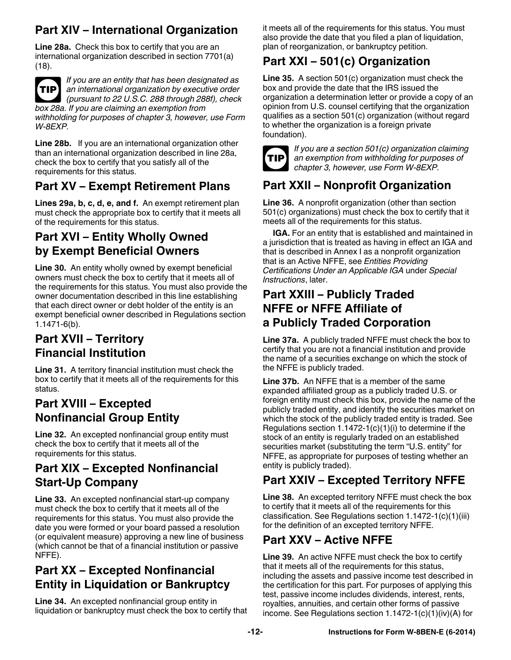# **Part XIV – International Organization**

**Line 28a.** Check this box to certify that you are an international organization described in section 7701(a) (18).



*If you are an entity that has been designated as an international organization by executive order (pursuant to 22 U.S.C. 288 through 288f), check box 28a. If you are claiming an exemption from* 

*withholding for purposes of chapter 3, however, use Form W-8EXP.*

**Line 28b.** If you are an international organization other than an international organization described in line 28a, check the box to certify that you satisfy all of the requirements for this status.

# **Part XV – Exempt Retirement Plans**

**Lines 29a, b, c, d, e, and f.** An exempt retirement plan must check the appropriate box to certify that it meets all of the requirements for this status.

# **Part XVI – Entity Wholly Owned by Exempt Beneficial Owners**

**Line 30.** An entity wholly owned by exempt beneficial owners must check the box to certify that it meets all of the requirements for this status. You must also provide the owner documentation described in this line establishing that each direct owner or debt holder of the entity is an exempt beneficial owner described in Regulations section 1.1471-6(b).

# **Part XVII – Territory Financial Institution**

**Line 31.** A territory financial institution must check the box to certify that it meets all of the requirements for this status.

# **Part XVIII – Excepted Nonfinancial Group Entity**

**Line 32.** An excepted nonfinancial group entity must check the box to certify that it meets all of the requirements for this status.

# **Part XIX – Excepted Nonfinancial Start-Up Company**

**Line 33.** An excepted nonfinancial start-up company must check the box to certify that it meets all of the requirements for this status. You must also provide the date you were formed or your board passed a resolution (or equivalent measure) approving a new line of business (which cannot be that of a financial institution or passive NFFE).

# **Part XX – Excepted Nonfinancial Entity in Liquidation or Bankruptcy**

**Line 34.** An excepted nonfinancial group entity in liquidation or bankruptcy must check the box to certify that it meets all of the requirements for this status. You must also provide the date that you filed a plan of liquidation, plan of reorganization, or bankruptcy petition.

# **Part XXI – 501(c) Organization**

**Line 35.** A section 501(c) organization must check the box and provide the date that the IRS issued the organization a determination letter or provide a copy of an opinion from U.S. counsel certifying that the organization qualifies as a section 501(c) organization (without regard to whether the organization is a foreign private foundation).



*If you are a section 501(c) organization claiming an exemption from withholding for purposes of chapter 3, however, use Form W-8EXP.*

# **Part XXII – Nonprofit Organization**

**Line 36.** A nonprofit organization (other than section 501(c) organizations) must check the box to certify that it meets all of the requirements for this status.

**IGA.** For an entity that is established and maintained in a jurisdiction that is treated as having in effect an IGA and that is described in Annex I as a nonprofit organization that is an Active NFFE, see *Entities Providing Certifications Under an Applicable IGA* under *Special Instructions*, later.

### **Part XXIII – Publicly Traded NFFE or NFFE Affiliate of a Publicly Traded Corporation**

**Line 37a.** A publicly traded NFFE must check the box to certify that you are not a financial institution and provide the name of a securities exchange on which the stock of the NFFE is publicly traded.

**Line 37b.** An NFFE that is a member of the same expanded affiliated group as a publicly traded U.S. or foreign entity must check this box, provide the name of the publicly traded entity, and identify the securities market on which the stock of the publicly traded entity is traded. See Regulations section  $1.1472-1(c)(1)(i)$  to determine if the stock of an entity is regularly traded on an established securities market (substituting the term "U.S. entity" for NFFE, as appropriate for purposes of testing whether an entity is publicly traded).

# **Part XXIV – Excepted Territory NFFE**

**Line 38.** An excepted territory NFFE must check the box to certify that it meets all of the requirements for this classification. See Regulations section 1.1472-1(c)(1)(iii) for the definition of an excepted territory NFFE.

# **Part XXV – Active NFFE**

**Line 39.** An active NFFE must check the box to certify that it meets all of the requirements for this status, including the assets and passive income test described in the certification for this part. For purposes of applying this test, passive income includes dividends, interest, rents, royalties, annuities, and certain other forms of passive income. See Regulations section 1.1472-1(c)(1)(iv)(A) for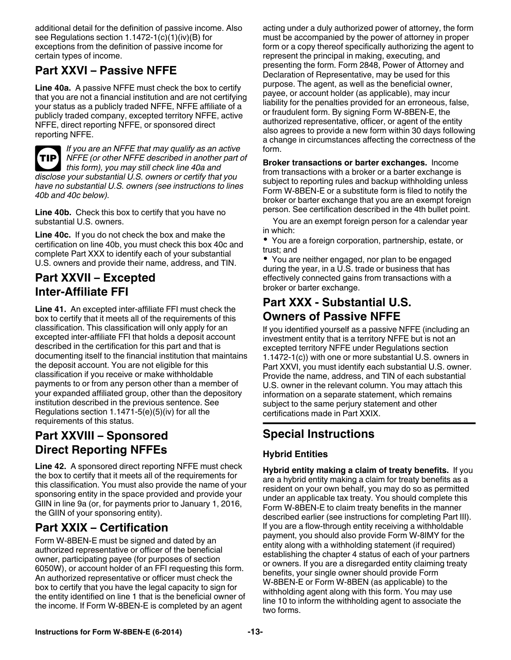additional detail for the definition of passive income. Also see Regulations section 1.1472-1(c)(1)(iv)(B) for exceptions from the definition of passive income for certain types of income.

# **Part XXVI – Passive NFFE**

**Line 40a.** A passive NFFE must check the box to certify that you are not a financial institution and are not certifying your status as a publicly traded NFFE, NFFE affiliate of a publicly traded company, excepted territory NFFE, active NFFE, direct reporting NFFE, or sponsored direct reporting NFFE.



*If you are an NFFE that may qualify as an active NFFE (or other NFFE described in another part of this form), you may still check line 40a and disclose your substantial U.S. owners or certify that you have no substantial U.S. owners (see instructions to lines 40b and 40c below).*

**Line 40b.** Check this box to certify that you have no substantial U.S. owners.

**Line 40c.** If you do not check the box and make the certification on line 40b, you must check this box 40c and complete Part XXX to identify each of your substantial U.S. owners and provide their name, address, and TIN.

### **Part XXVII – Excepted Inter-Affiliate FFI**

**Line 41.** An excepted inter-affiliate FFI must check the box to certify that it meets all of the requirements of this classification. This classification will only apply for an excepted inter-affiliate FFI that holds a deposit account described in the certification for this part and that is documenting itself to the financial institution that maintains the deposit account. You are not eligible for this classification if you receive or make withholdable payments to or from any person other than a member of your expanded affiliated group, other than the depository institution described in the previous sentence. See Regulations section 1.1471-5(e)(5)(iv) for all the requirements of this status.

# **Part XXVIII – Sponsored Direct Reporting NFFEs**

**Line 42.** A sponsored direct reporting NFFE must check the box to certify that it meets all of the requirements for this classification. You must also provide the name of your sponsoring entity in the space provided and provide your GIIN in line 9a (or, for payments prior to January 1, 2016, the GIIN of your sponsoring entity).

# **Part XXIX – Certification**

Form W-8BEN-E must be signed and dated by an authorized representative or officer of the beneficial owner, participating payee (for purposes of section 6050W), or account holder of an FFI requesting this form. An authorized representative or officer must check the box to certify that you have the legal capacity to sign for the entity identified on line 1 that is the beneficial owner of the income. If Form W-8BEN-E is completed by an agent

acting under a duly authorized power of attorney, the form must be accompanied by the power of attorney in proper form or a copy thereof specifically authorizing the agent to represent the principal in making, executing, and presenting the form. Form 2848, Power of Attorney and Declaration of Representative, may be used for this purpose. The agent, as well as the beneficial owner, payee, or account holder (as applicable), may incur liability for the penalties provided for an erroneous, false, or fraudulent form. By signing Form W-8BEN-E, the authorized representative, officer, or agent of the entity also agrees to provide a new form within 30 days following a change in circumstances affecting the correctness of the form.

**Broker transactions or barter exchanges.** Income from transactions with a broker or a barter exchange is subject to reporting rules and backup withholding unless Form W-8BEN-E or a substitute form is filed to notify the broker or barter exchange that you are an exempt foreign person. See certification described in the 4th bullet point.

You are an exempt foreign person for a calendar year in which:

You are a foreign corporation, partnership, estate, or trust; and

You are neither engaged, nor plan to be engaged during the year, in a U.S. trade or business that has effectively connected gains from transactions with a broker or barter exchange.

# **Part XXX - Substantial U.S. Owners of Passive NFFE**

If you identified yourself as a passive NFFE (including an investment entity that is a territory NFFE but is not an excepted territory NFFE under Regulations section 1.1472-1(c)) with one or more substantial U.S. owners in Part XXVI, you must identify each substantial U.S. owner. Provide the name, address, and TIN of each substantial U.S. owner in the relevant column. You may attach this information on a separate statement, which remains subject to the same perjury statement and other certifications made in Part XXIX.

# **Special Instructions**

#### **Hybrid Entities**

**Hybrid entity making a claim of treaty benefits.** If you are a hybrid entity making a claim for treaty benefits as a resident on your own behalf, you may do so as permitted under an applicable tax treaty. You should complete this Form W-8BEN-E to claim treaty benefits in the manner described earlier (see instructions for completing Part III). If you are a flow-through entity receiving a withholdable payment, you should also provide Form W-8IMY for the entity along with a withholding statement (if required) establishing the chapter 4 status of each of your partners or owners. If you are a disregarded entity claiming treaty benefits, your single owner should provide Form W-8BEN-E or Form W-8BEN (as applicable) to the withholding agent along with this form. You may use line 10 to inform the withholding agent to associate the two forms.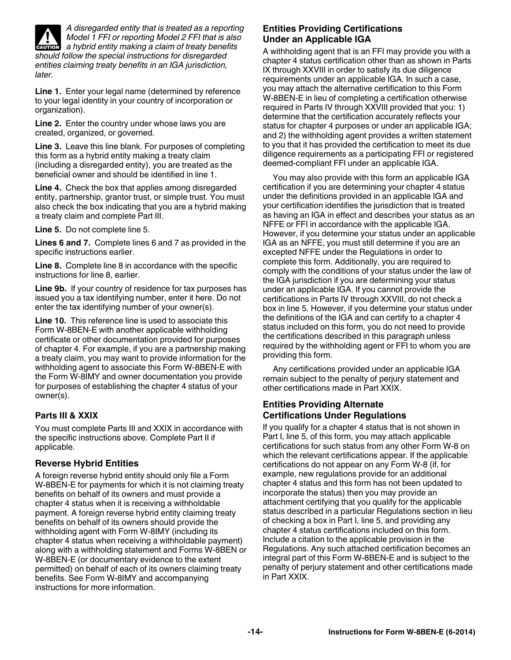

*later.*

*A disregarded entity that is treated as a reporting Model 1 FFI or reporting Model 2 FFI that is also*  **A Model 1 FFI or reporting Model 2 FFI that is also<br>
<b>ENUTION** a hybrid entity making a claim of treaty benefits *should follow the special instructions for disregarded entities claiming treaty benefits in an IGA jurisdiction,* 

**Line 1.** Enter your legal name (determined by reference to your legal identity in your country of incorporation or organization).

**Line 2.** Enter the country under whose laws you are created, organized, or governed.

**Line 3.** Leave this line blank. For purposes of completing this form as a hybrid entity making a treaty claim (including a disregarded entity), you are treated as the beneficial owner and should be identified in line 1.

**Line 4.** Check the box that applies among disregarded entity, partnership, grantor trust, or simple trust. You must also check the box indicating that you are a hybrid making a treaty claim and complete Part III.

**Line 5.** Do not complete line 5.

**Lines 6 and 7.** Complete lines 6 and 7 as provided in the specific instructions earlier.

**Line 8.** Complete line 8 in accordance with the specific instructions for line 8, earlier.

**Line 9b.** If your country of residence for tax purposes has issued you a tax identifying number, enter it here. Do not enter the tax identifying number of your owner(s).

**Line 10.** This reference line is used to associate this Form W-8BEN-E with another applicable withholding certificate or other documentation provided for purposes of chapter 4. For example, if you are a partnership making a treaty claim, you may want to provide information for the withholding agent to associate this Form W-8BEN-E with the Form W-8IMY and owner documentation you provide for purposes of establishing the chapter 4 status of your owner(s).

#### **Parts III & XXIX**

You must complete Parts III and XXIX in accordance with the specific instructions above. Complete Part II if applicable.

#### **Reverse Hybrid Entities**

A foreign reverse hybrid entity should only file a Form W-8BEN-E for payments for which it is not claiming treaty benefits on behalf of its owners and must provide a chapter 4 status when it is receiving a withholdable payment. A foreign reverse hybrid entity claiming treaty benefits on behalf of its owners should provide the withholding agent with Form W-8IMY (including its chapter 4 status when receiving a withholdable payment) along with a withholding statement and Forms W-8BEN or W-8BEN-E (or documentary evidence to the extent permitted) on behalf of each of its owners claiming treaty benefits. See Form W-8IMY and accompanying instructions for more information.

#### **Entities Providing Certifications Under an Applicable IGA**

A withholding agent that is an FFI may provide you with a chapter 4 status certification other than as shown in Parts IX through XXVIII in order to satisfy its due diligence requirements under an applicable IGA. In such a case, you may attach the alternative certification to this Form W-8BEN-E in lieu of completing a certification otherwise required in Parts IV through XXVIII provided that you: 1) determine that the certification accurately reflects your status for chapter 4 purposes or under an applicable IGA; and 2) the withholding agent provides a written statement to you that it has provided the certification to meet its due diligence requirements as a participating FFI or registered deemed-compliant FFI under an applicable IGA.

You may also provide with this form an applicable IGA certification if you are determining your chapter 4 status under the definitions provided in an applicable IGA and your certification identifies the jurisdiction that is treated as having an IGA in effect and describes your status as an NFFE or FFI in accordance with the applicable IGA. However, if you determine your status under an applicable IGA as an NFFE, you must still determine if you are an excepted NFFE under the Regulations in order to complete this form. Additionally, you are required to comply with the conditions of your status under the law of the IGA jurisdiction if you are determining your status under an applicable IGA. If you cannot provide the certifications in Parts IV through XXVIII, do not check a box in line 5. However, if you determine your status under the definitions of the IGA and can certify to a chapter 4 status included on this form, you do not need to provide the certifications described in this paragraph unless required by the withholding agent or FFI to whom you are providing this form.

Any certifications provided under an applicable IGA remain subject to the penalty of perjury statement and other certifications made in Part XXIX.

#### **Entities Providing Alternate Certifications Under Regulations**

If you qualify for a chapter 4 status that is not shown in Part I, line 5, of this form, you may attach applicable certifications for such status from any other Form W-8 on which the relevant certifications appear. If the applicable certifications do not appear on any Form W-8 (if, for example, new regulations provide for an additional chapter 4 status and this form has not been updated to incorporate the status) then you may provide an attachment certifying that you qualify for the applicable status described in a particular Regulations section in lieu of checking a box in Part I, line 5, and providing any chapter 4 status certifications included on this form. Include a citation to the applicable provision in the Regulations. Any such attached certification becomes an integral part of this Form W-8BEN-E and is subject to the penalty of perjury statement and other certifications made in Part XXIX.